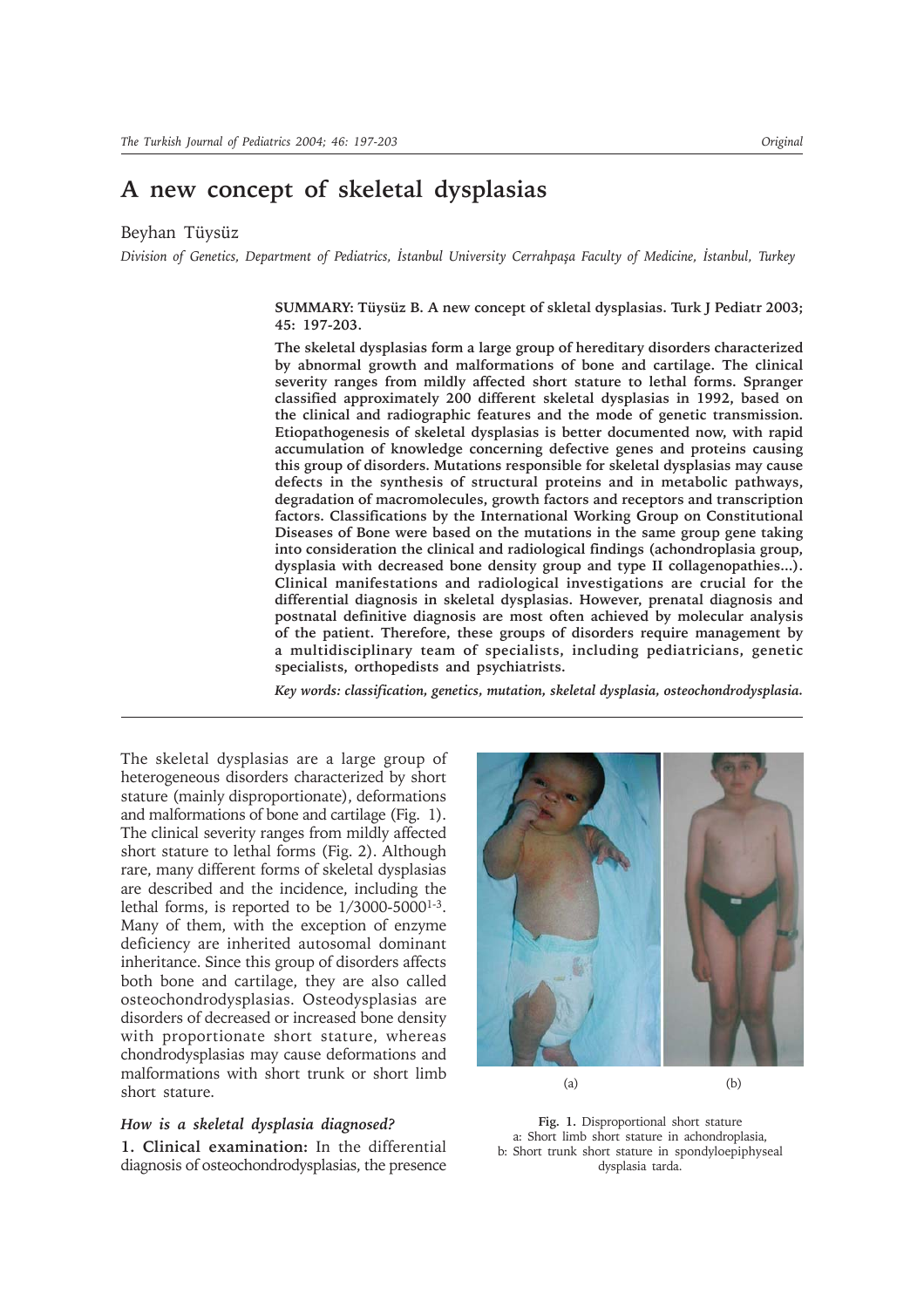# **A new concept of skeletal dysplasias**

Beyhan Tüysüz

*Division of Genetics, Department of Pediatrics, Ýstanbul University Cerrahpaþa Faculty of Medicine, Ýstanbul, Turkey*

### **SUMMARY: Tüysüz B. A new concept of skletal dysplasias. Turk J Pediatr 2003; 45: 197-203.**

**The skeletal dysplasias form a large group of hereditary disorders characterized by abnormal growth and malformations of bone and cartilage. The clinical severity ranges from mildly affected short stature to lethal forms. Spranger classified approximately 200 different skeletal dysplasias in 1992, based on the clinical and radiographic features and the mode of genetic transmission. Etiopathogenesis of skeletal dysplasias is better documented now, with rapid accumulation of knowledge concerning defective genes and proteins causing this group of disorders. Mutations responsible for skeletal dysplasias may cause defects in the synthesis of structural proteins and in metabolic pathways, degradation of macromolecules, growth factors and receptors and transcription factors. Classifications by the International Working Group on Constitutional Diseases of Bone were based on the mutations in the same group gene taking into consideration the clinical and radiological findings (achondroplasia group, dysplasia with decreased bone density group and type II collagenopathies...). Clinical manifestations and radiological investigations are crucial for the differential diagnosis in skeletal dysplasias. However, prenatal diagnosis and postnatal definitive diagnosis are most often achieved by molecular analysis of the patient. Therefore, these groups of disorders require management by a multidisciplinary team of specialists, including pediatricians, genetic specialists, orthopedists and psychiatrists.**

*Key words: classification, genetics, mutation, skeletal dysplasia, osteochondrodysplasia.*

The skeletal dysplasias are a large group of heterogeneous disorders characterized by short stature (mainly disproportionate), deformations and malformations of bone and cartilage (Fig. 1). The clinical severity ranges from mildly affected short stature to lethal forms (Fig. 2). Although rare, many different forms of skeletal dysplasias are described and the incidence, including the lethal forms, is reported to be  $1/3000-5000^{1-3}$ . Many of them, with the exception of enzyme deficiency are inherited autosomal dominant inheritance. Since this group of disorders affects both bone and cartilage, they are also called osteochondrodysplasias. Osteodysplasias are disorders of decreased or increased bone density with proportionate short stature, whereas chondrodysplasias may cause deformations and malformations with short trunk or short limb short stature.

### *How is a skeletal dysplasia diagnosed?*

**1. Clinical examination:** In the differential diagnosis of osteochondrodysplasias, the presence



(a) (b)

**Fig. 1.** Disproportional short stature a: Short limb short stature in achondroplasia, b: Short trunk short stature in spondyloepiphyseal dysplasia tarda.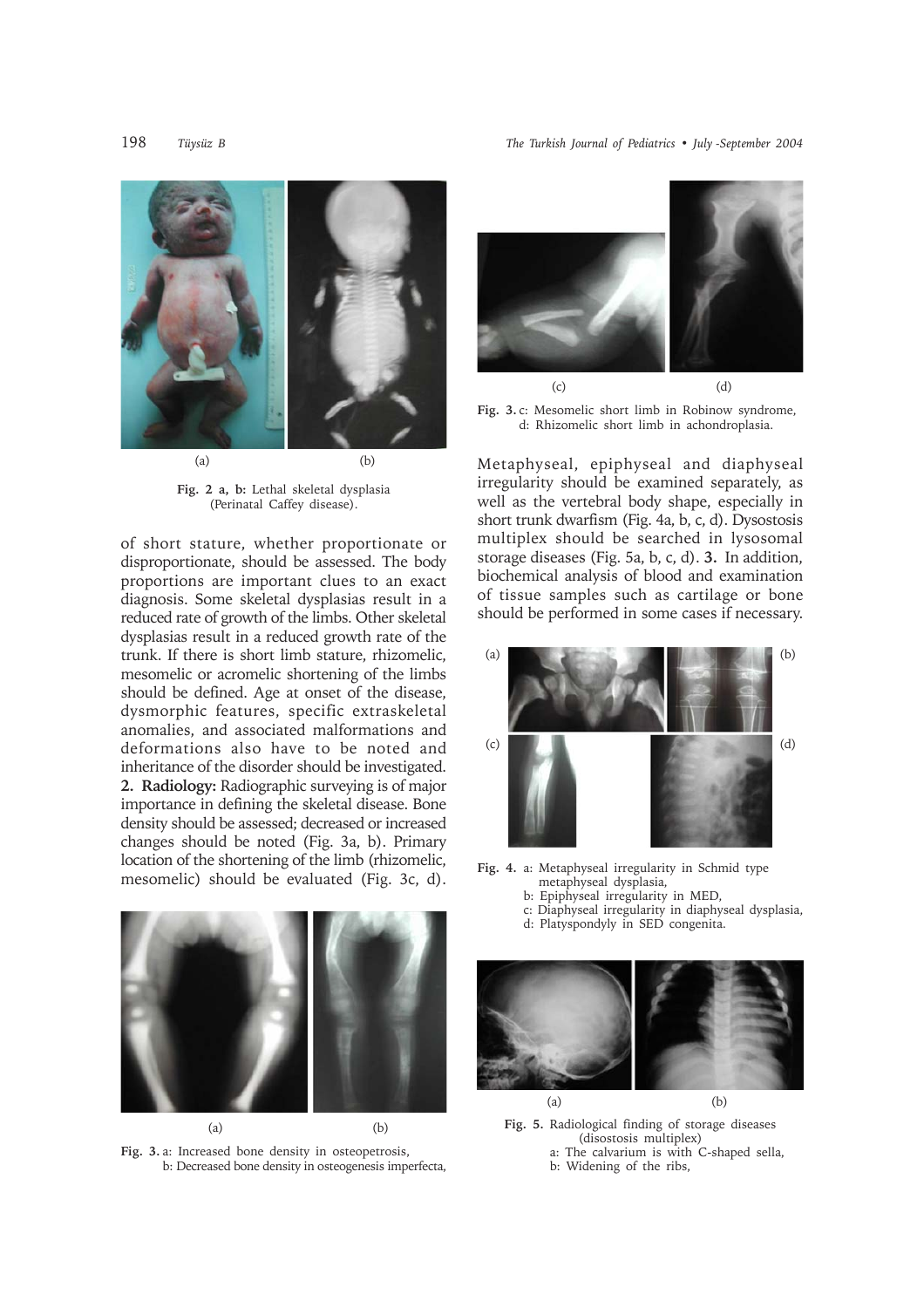198 *Tüysüz B The Turkish Journal of Pediatrics • July -September 2004*



**Fig. 2 a, b:** Lethal skeletal dysplasia (Perinatal Caffey disease).

of short stature, whether proportionate or disproportionate, should be assessed. The body proportions are important clues to an exact diagnosis. Some skeletal dysplasias result in a reduced rate of growth of the limbs. Other skeletal dysplasias result in a reduced growth rate of the trunk. If there is short limb stature, rhizomelic, mesomelic or acromelic shortening of the limbs should be defined. Age at onset of the disease, dysmorphic features, specific extraskeletal anomalies, and associated malformations and deformations also have to be noted and inheritance of the disorder should be investigated. **2. Radiology:** Radiographic surveying is of major importance in defining the skeletal disease. Bone density should be assessed; decreased or increased changes should be noted (Fig. 3a, b). Primary location of the shortening of the limb (rhizomelic, mesomelic) should be evaluated (Fig. 3c, d).



**Fig. 3.** a: Increased bone density in osteopetrosis, b: Decreased bone density in osteogenesis imperfecta,



**Fig. 3.** c: Mesomelic short limb in Robinow syndrome, d: Rhizomelic short limb in achondroplasia.

Metaphyseal, epiphyseal and diaphyseal irregularity should be examined separately, as well as the vertebral body shape, especially in short trunk dwarfism (Fig. 4a, b, c, d). Dysostosis multiplex should be searched in lysosomal storage diseases (Fig. 5a, b, c, d). **3.** In addition, biochemical analysis of blood and examination of tissue samples such as cartilage or bone should be performed in some cases if necessary.



**Fig. 4.** a: Metaphyseal irregularity in Schmid type metaphyseal dysplasia,

- b: Epiphyseal irregularity in MED,
- c: Diaphyseal irregularity in diaphyseal dysplasia,
- d: Platyspondyly in SED congenita.



**Fig. 5.** Radiological finding of storage diseases (disostosis multiplex) a: The calvarium is with C-shaped sella,

b: Widening of the ribs,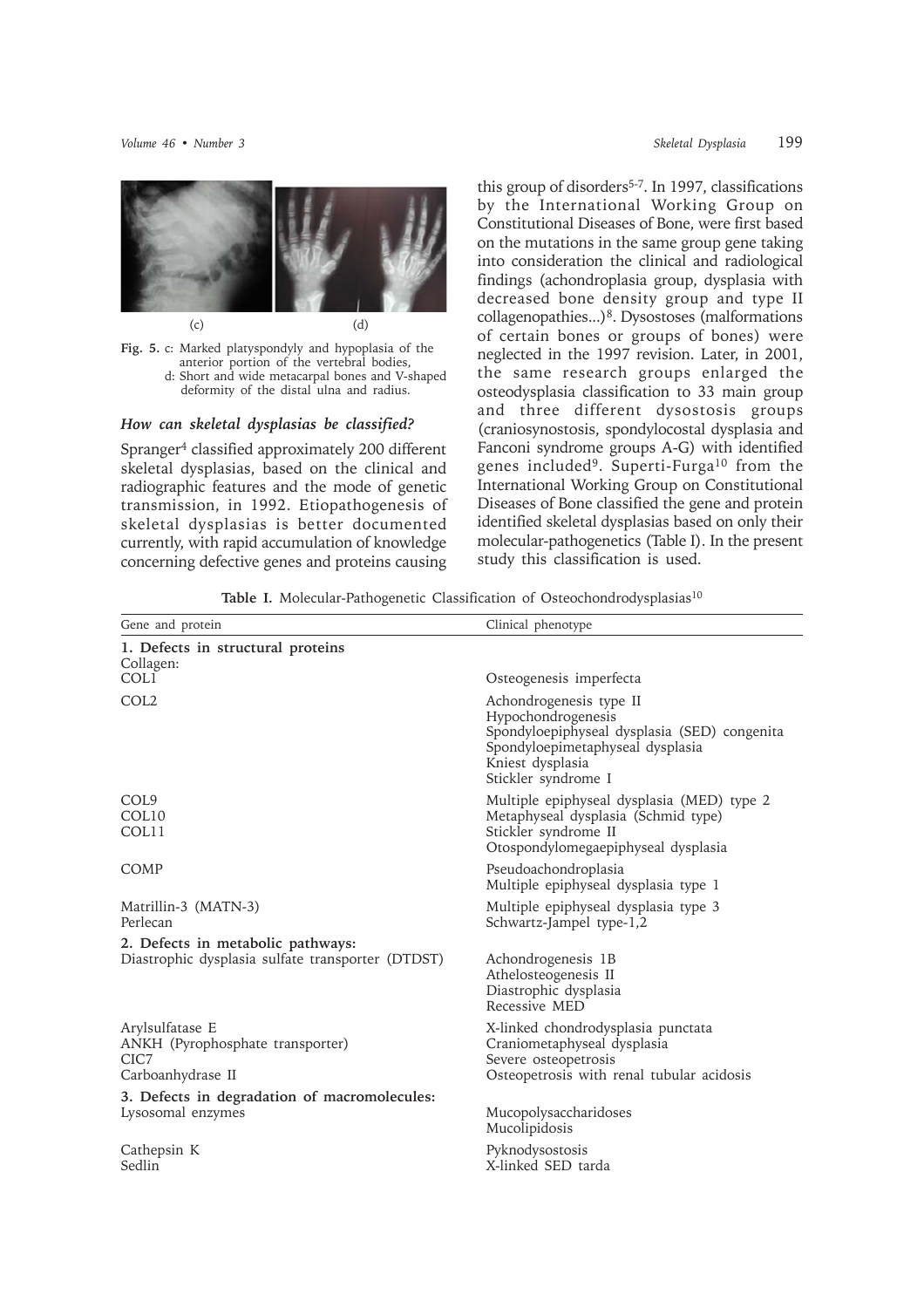

**Fig. 5.** c: Marked platyspondyly and hypoplasia of the anterior portion of the vertebral bodies, d: Short and wide metacarpal bones and V-shaped deformity of the distal ulna and radius.

### *How can skeletal dysplasias be classified?*

Spranger4 classified approximately 200 different skeletal dysplasias, based on the clinical and radiographic features and the mode of genetic transmission, in 1992. Etiopathogenesis of skeletal dysplasias is better documented currently, with rapid accumulation of knowledge concerning defective genes and proteins causing

this group of disorders<sup>5-7</sup>. In 1997, classifications by the International Working Group on Constitutional Diseases of Bone, were first based on the mutations in the same group gene taking into consideration the clinical and radiological findings (achondroplasia group, dysplasia with decreased bone density group and type II collagenopathies...)8. Dysostoses (malformations of certain bones or groups of bones) were neglected in the 1997 revision. Later, in 2001, the same research groups enlarged the osteodysplasia classification to 33 main group and three different dysostosis groups (craniosynostosis, spondylocostal dysplasia and Fanconi syndrome groups A-G) with identified genes included9. Superti-Furga10 from the International Working Group on Constitutional Diseases of Bone classified the gene and protein identified skeletal dysplasias based on only their molecular-pathogenetics (Table I). In the present study this classification is used.

Table I. Molecular-Pathogenetic Classification of Osteochondrodysplasias<sup>10</sup>

| Gene and protein                                                                       | Clinical phenotype                                                                                                                                                           |
|----------------------------------------------------------------------------------------|------------------------------------------------------------------------------------------------------------------------------------------------------------------------------|
| 1. Defects in structural proteins<br>Collagen:                                         |                                                                                                                                                                              |
| COL1                                                                                   | Osteogenesis imperfecta                                                                                                                                                      |
| COL <sub>2</sub>                                                                       | Achondrogenesis type II<br>Hypochondrogenesis<br>Spondyloepiphyseal dysplasia (SED) congenita<br>Spondyloepimetaphyseal dysplasia<br>Kniest dysplasia<br>Stickler syndrome I |
| COL <sub>9</sub><br>COL <sub>10</sub><br>COL11                                         | Multiple epiphyseal dysplasia (MED) type 2<br>Metaphyseal dysplasia (Schmid type)<br>Stickler syndrome II<br>Otospondylomegaepiphyseal dysplasia                             |
| COMP                                                                                   | Pseudoachondroplasia<br>Multiple epiphyseal dysplasia type 1                                                                                                                 |
| Matrillin-3 (MATN-3)<br>Perlecan                                                       | Multiple epiphyseal dysplasia type 3<br>Schwartz-Jampel type-1,2                                                                                                             |
| 2. Defects in metabolic pathways:<br>Diastrophic dysplasia sulfate transporter (DTDST) | Achondrogenesis 1B<br>Athelosteogenesis II<br>Diastrophic dysplasia<br>Recessive MED                                                                                         |
| Arylsulfatase E<br>ANKH (Pyrophosphate transporter)<br>CIC7<br>Carboanhydrase II       | X-linked chondrodysplasia punctata<br>Craniometaphyseal dysplasia<br>Severe osteopetrosis<br>Osteopetrosis with renal tubular acidosis                                       |
| 3. Defects in degradation of macromolecules:<br>Lysosomal enzymes                      | Mucopolysaccharidoses<br>Mucolipidosis                                                                                                                                       |
| Cathepsin K<br>Sedlin                                                                  | Pyknodysostosis<br>X-linked SED tarda                                                                                                                                        |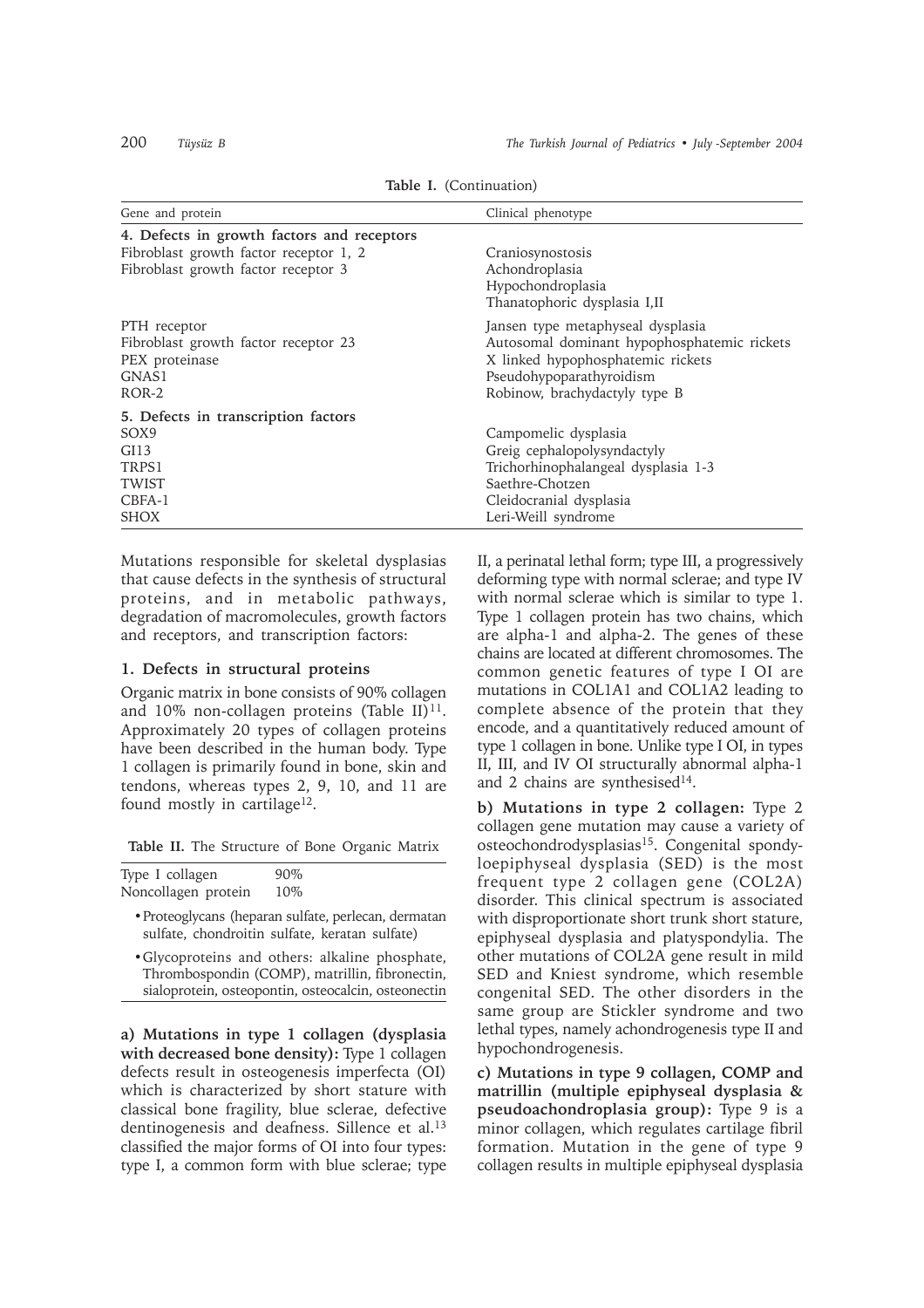|  |  | Table I. (Continuation) |  |
|--|--|-------------------------|--|
|--|--|-------------------------|--|

| Gene and protein                           | Clinical phenotype                          |  |  |  |
|--------------------------------------------|---------------------------------------------|--|--|--|
| 4. Defects in growth factors and receptors |                                             |  |  |  |
| Fibroblast growth factor receptor 1, 2     | Craniosynostosis                            |  |  |  |
| Fibroblast growth factor receptor 3        | Achondroplasia<br>Hypochondroplasia         |  |  |  |
|                                            | Thanatophoric dysplasia I,II                |  |  |  |
| PTH receptor                               | Jansen type metaphyseal dysplasia           |  |  |  |
| Fibroblast growth factor receptor 23       | Autosomal dominant hypophosphatemic rickets |  |  |  |
| PEX proteinase                             | X linked hypophosphatemic rickets           |  |  |  |
| GNAS1<br>ROR-2                             | Pseudohypoparathyroidism                    |  |  |  |
|                                            | Robinow, brachydactyly type B               |  |  |  |
| 5. Defects in transcription factors        |                                             |  |  |  |
| SOX9                                       | Campomelic dysplasia                        |  |  |  |
| GI13                                       | Greig cephalopolysyndactyly                 |  |  |  |
| TRPS1                                      | Trichorhinophalangeal dysplasia 1-3         |  |  |  |
| <b>TWIST</b>                               | Saethre-Chotzen                             |  |  |  |
| CBFA-1                                     | Cleidocranial dysplasia                     |  |  |  |
| <b>SHOX</b>                                | Leri-Weill syndrome                         |  |  |  |

Mutations responsible for skeletal dysplasias that cause defects in the synthesis of structural proteins, and in metabolic pathways, degradation of macromolecules, growth factors and receptors, and transcription factors:

### **1. Defects in structural proteins**

Organic matrix in bone consists of 90% collagen and 10% non-collagen proteins (Table II) $^{11}$ . Approximately 20 types of collagen proteins have been described in the human body. Type 1 collagen is primarily found in bone, skin and tendons, whereas types 2, 9, 10, and 11 are found mostly in cartilage<sup>12</sup>.

**Table II.** The Structure of Bone Organic Matrix

| Type I collagen     | $90\%$ |  |
|---------------------|--------|--|
| Noncollagen protein | 10%    |  |

- •Proteoglycans (heparan sulfate, perlecan, dermatan sulfate, chondroitin sulfate, keratan sulfate)
- •Glycoproteins and others: alkaline phosphate, Thrombospondin (COMP), matrillin, fibronectin, sialoprotein, osteopontin, osteocalcin, osteonectin

**a) Mutations in type 1 collagen (dysplasia with decreased bone density):** Type 1 collagen defects result in osteogenesis imperfecta (OI) which is characterized by short stature with classical bone fragility, blue sclerae, defective dentinogenesis and deafness. Sillence et al.13 classified the major forms of OI into four types: type I, a common form with blue sclerae; type

II, a perinatal lethal form; type III, a progressively deforming type with normal sclerae; and type IV with normal sclerae which is similar to type 1. Type 1 collagen protein has two chains, which are alpha-1 and alpha-2. The genes of these chains are located at different chromosomes. The common genetic features of type I OI are mutations in COL1A1 and COL1A2 leading to complete absence of the protein that they encode, and a quantitatively reduced amount of type 1 collagen in bone. Unlike type I OI, in types II, III, and IV OI structurally abnormal alpha-1 and 2 chains are synthesised<sup>14</sup>.

**b) Mutations in type 2 collagen:** Type 2 collagen gene mutation may cause a variety of osteochondrodysplasias<sup>15</sup>. Congenital spondyloepiphyseal dysplasia (SED) is the most frequent type 2 collagen gene (COL2A) disorder. This clinical spectrum is associated with disproportionate short trunk short stature, epiphyseal dysplasia and platyspondylia. The other mutations of COL2A gene result in mild SED and Kniest syndrome, which resemble congenital SED. The other disorders in the same group are Stickler syndrome and two lethal types, namely achondrogenesis type II and hypochondrogenesis.

**c) Mutations in type 9 collagen, COMP and matrillin (multiple epiphyseal dysplasia & pseudoachondroplasia group):** Type 9 is a minor collagen, which regulates cartilage fibril formation. Mutation in the gene of type 9 collagen results in multiple epiphyseal dysplasia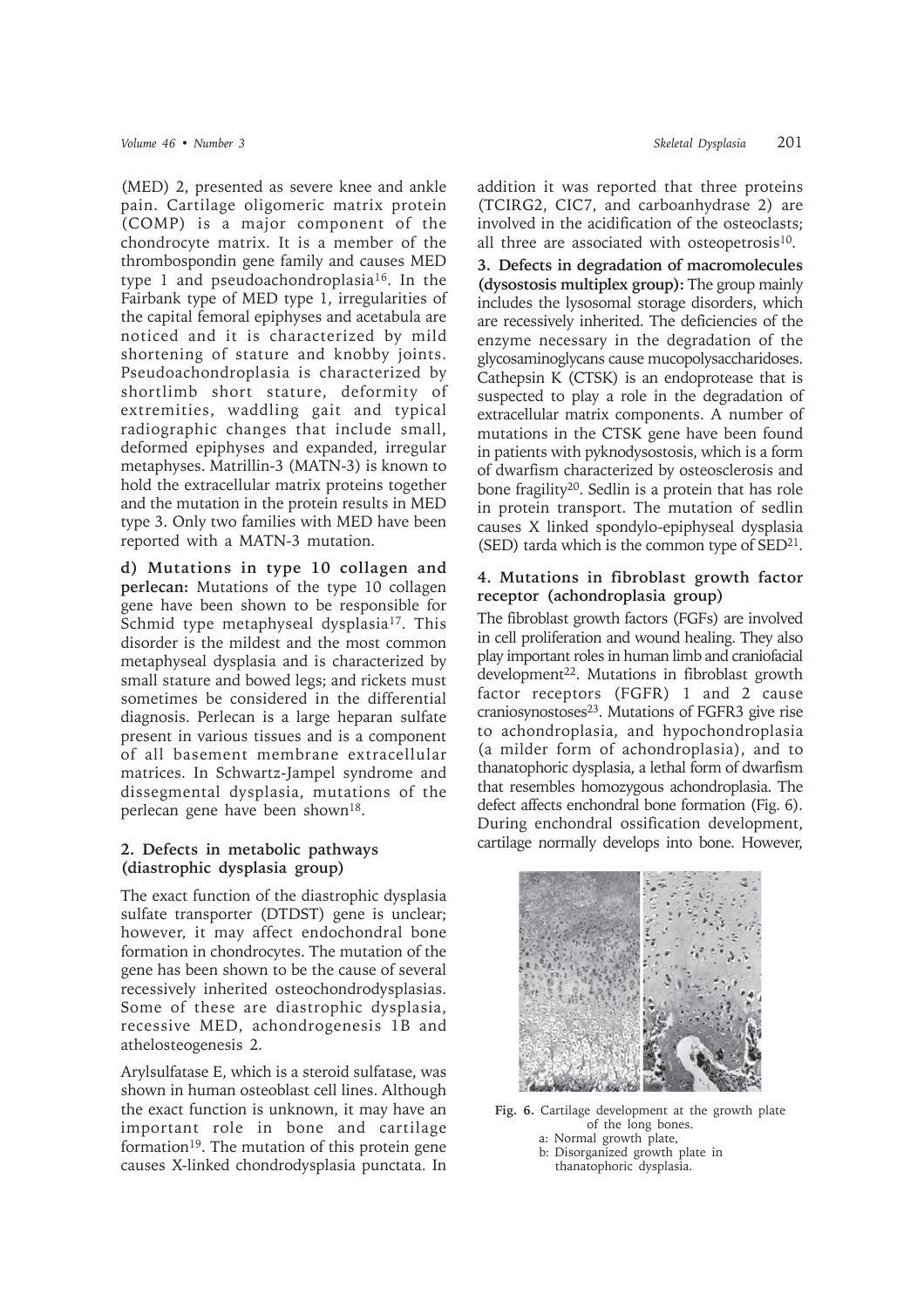(MED) 2, presented as severe knee and ankle pain. Cartilage oligomeric matrix protein (COMP) is a major component of the chondrocyte matrix. It is a member of the thrombospondin gene family and causes MED type 1 and pseudoachondroplasia16. In the Fairbank type of MED type 1, irregularities of the capital femoral epiphyses and acetabula are noticed and it is characterized by mild shortening of stature and knobby joints. Pseudoachondroplasia is characterized by shortlimb short stature, deformity of extremities, waddling gait and typical radiographic changes that include small, deformed epiphyses and expanded, irregular metaphyses. Matrillin-3 (MATN-3) is known to hold the extracellular matrix proteins together and the mutation in the protein results in MED type 3. Only two families with MED have been reported with a MATN-3 mutation.

**d) Mutations in type 10 collagen and perlecan:** Mutations of the type 10 collagen gene have been shown to be responsible for Schmid type metaphyseal dysplasia<sup>17</sup>. This disorder is the mildest and the most common metaphyseal dysplasia and is characterized by small stature and bowed legs; and rickets must sometimes be considered in the differential diagnosis. Perlecan is a large heparan sulfate present in various tissues and is a component of all basement membrane extracellular matrices. In Schwartz-Jampel syndrome and dissegmental dysplasia, mutations of the perlecan gene have been shown18.

# **2. Defects in metabolic pathways (diastrophic dysplasia group)**

The exact function of the diastrophic dysplasia sulfate transporter (DTDST) gene is unclear; however, it may affect endochondral bone formation in chondrocytes. The mutation of the gene has been shown to be the cause of several recessively inherited osteochondrodysplasias. Some of these are diastrophic dysplasia, recessive MED, achondrogenesis 1B and athelosteogenesis 2*.*

Arylsulfatase E, which is a steroid sulfatase, was shown in human osteoblast cell lines. Although the exact function is unknown, it may have an important role in bone and cartilage formation<sup>19</sup>. The mutation of this protein gene causes X-linked chondrodysplasia punctata. In addition it was reported that three proteins (TCIRG2, CIC7, and carboanhydrase 2) are involved in the acidification of the osteoclasts; all three are associated with osteopetrosis $10$ .

**3. Defects in degradation of macromolecules (dysostosis multiplex group):** The group mainly includes the lysosomal storage disorders, which are recessively inherited. The deficiencies of the enzyme necessary in the degradation of the glycosaminoglycans cause mucopolysaccharidoses. Cathepsin K (CTSK) is an endoprotease that is suspected to play a role in the degradation of extracellular matrix components. A number of mutations in the CTSK gene have been found in patients with pyknodysostosis, which is a form of dwarfism characterized by osteosclerosis and bone fragility20. Sedlin is a protein that has role in protein transport. The mutation of sedlin causes X linked spondylo-epiphyseal dysplasia (SED) tarda which is the common type of  $\text{SED}^{21}$ .

## **4. Mutations in fibroblast growth factor receptor (achondroplasia group)**

The fibroblast growth factors (FGFs) are involved in cell proliferation and wound healing. They also play important roles in human limb and craniofacial development<sup>22</sup>. Mutations in fibroblast growth factor receptors (FGFR) 1 and 2 cause craniosynostoses<sup>23</sup>. Mutations of FGFR3 give rise to achondroplasia, and hypochondroplasia (a milder form of achondroplasia), and to thanatophoric dysplasia, a lethal form of dwarfism that resembles homozygous achondroplasia. The defect affects enchondral bone formation (Fig. 6). During enchondral ossification development, cartilage normally develops into bone. However,



**Fig. 6.** Cartilage development at the growth plate of the long bones.

a: Normal growth plate, b: Disorganized growth plate in b: thanatophoric dysplasia.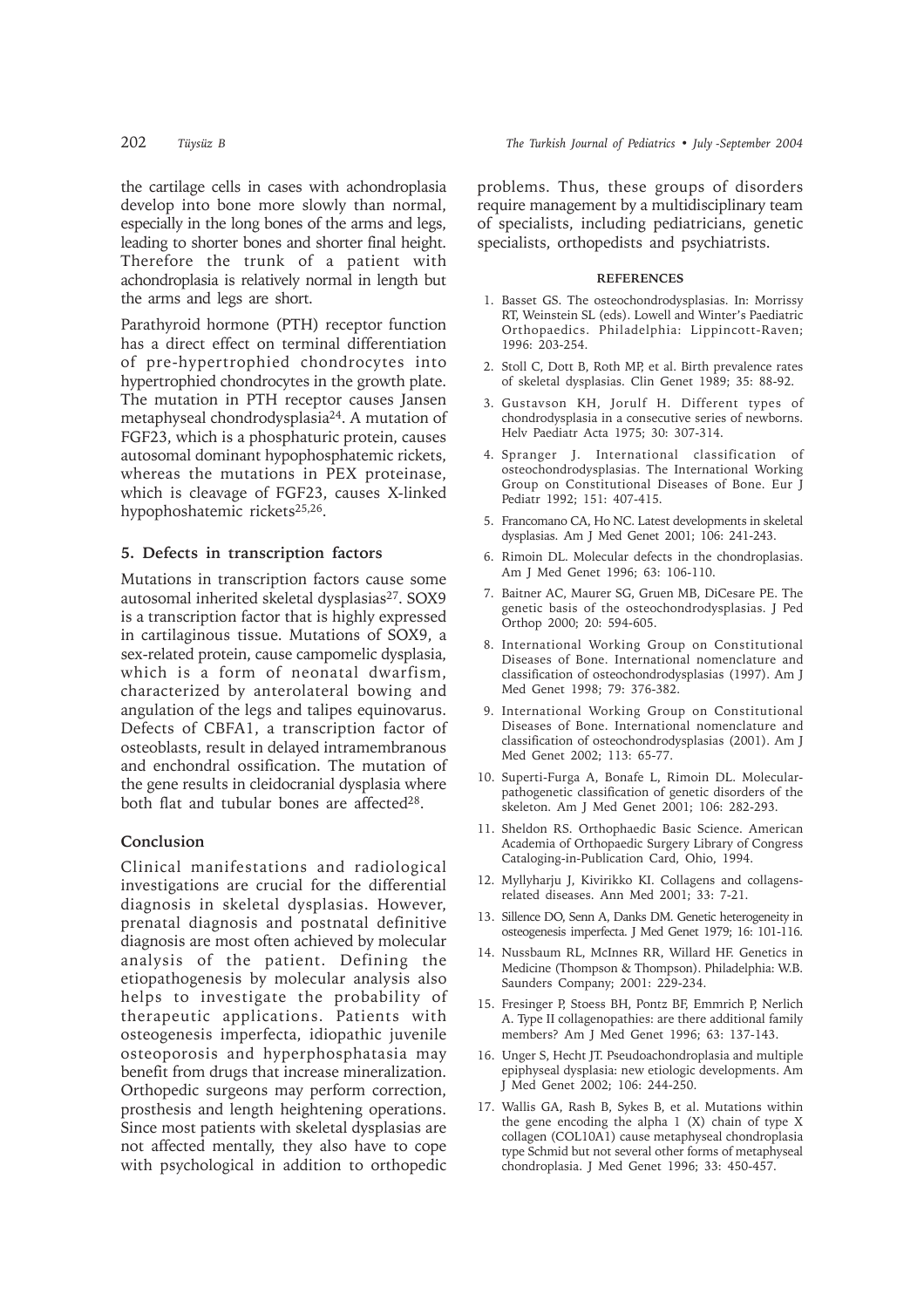the cartilage cells in cases with achondroplasia develop into bone more slowly than normal, especially in the long bones of the arms and legs, leading to shorter bones and shorter final height. Therefore the trunk of a patient with achondroplasia is relatively normal in length but the arms and legs are short.

Parathyroid hormone (PTH) receptor function has a direct effect on terminal differentiation of pre-hypertrophied chondrocytes into hypertrophied chondrocytes in the growth plate. The mutation in PTH receptor causes Jansen metaphyseal chondrodysplasia24. A mutation of FGF23, which is a phosphaturic protein, causes autosomal dominant hypophosphatemic rickets, whereas the mutations in PEX proteinase, which is cleavage of FGF23, causes X-linked hypophoshatemic rickets25,26.

### **5. Defects in transcription factors**

Mutations in transcription factors cause some autosomal inherited skeletal dysplasias<sup>27</sup>. SOX9 is a transcription factor that is highly expressed in cartilaginous tissue. Mutations of SOX9, a sex-related protein, cause campomelic dysplasia, which is a form of neonatal dwarfism, characterized by anterolateral bowing and angulation of the legs and talipes equinovarus. Defects of CBFA1, a transcription factor of osteoblasts, result in delayed intramembranous and enchondral ossification. The mutation of the gene results in cleidocranial dysplasia where both flat and tubular bones are affected<sup>28</sup>.

### **Conclusion**

Clinical manifestations and radiological investigations are crucial for the differential diagnosis in skeletal dysplasias. However, prenatal diagnosis and postnatal definitive diagnosis are most often achieved by molecular analysis of the patient. Defining the etiopathogenesis by molecular analysis also helps to investigate the probability of therapeutic applications. Patients with osteogenesis imperfecta, idiopathic juvenile osteoporosis and hyperphosphatasia may benefit from drugs that increase mineralization. Orthopedic surgeons may perform correction, prosthesis and length heightening operations. Since most patients with skeletal dysplasias are not affected mentally, they also have to cope with psychological in addition to orthopedic

problems. Thus, these groups of disorders require management by a multidisciplinary team of specialists, including pediatricians, genetic specialists, orthopedists and psychiatrists.

#### **REFERENCES**

- 1. Basset GS. The osteochondrodysplasias. In: Morrissy RT, Weinstein SL (eds). Lowell and Winter's Paediatric Orthopaedics. Philadelphia: Lippincott-Raven; 1996: 203-254.
- 2. Stoll C, Dott B, Roth MP, et al. Birth prevalence rates of skeletal dysplasias. Clin Genet 1989; 35: 88-92.
- 3. Gustavson KH, Jorulf H. Different types of chondrodysplasia in a consecutive series of newborns. Helv Paediatr Acta 1975; 30: 307-314.
- 4. Spranger J. International classification of osteochondrodysplasias. The International Working Group on Constitutional Diseases of Bone. Eur J Pediatr 1992; 151: 407-415.
- 5. Francomano CA, Ho NC. Latest developments in skeletal dysplasias. Am J Med Genet 2001; 106: 241-243.
- 6. Rimoin DL. Molecular defects in the chondroplasias. Am J Med Genet 1996; 63: 106-110.
- 7. Baitner AC, Maurer SG, Gruen MB, DiCesare PE. The genetic basis of the osteochondrodysplasias. J Ped Orthop 2000; 20: 594-605.
- 8. International Working Group on Constitutional Diseases of Bone. International nomenclature and classification of osteochondrodysplasias (1997). Am J Med Genet 1998; 79: 376-382.
- 9. International Working Group on Constitutional Diseases of Bone. International nomenclature and classification of osteochondrodysplasias (2001). Am J Med Genet 2002; 113: 65-77.
- 10. Superti-Furga A, Bonafe L, Rimoin DL. Molecularpathogenetic classification of genetic disorders of the skeleton. Am J Med Genet 2001; 106: 282-293.
- 11. Sheldon RS. Orthophaedic Basic Science. American Academia of Orthopaedic Surgery Library of Congress Cataloging-in-Publication Card, Ohio, 1994.
- 12. Myllyharju J, Kivirikko KI. Collagens and collagensrelated diseases. Ann Med 2001; 33: 7-21.
- 13. Sillence DO, Senn A, Danks DM. Genetic heterogeneity in osteogenesis imperfecta. J Med Genet 1979; 16: 101-116.
- 14. Nussbaum RL, McInnes RR, Willard HF. Genetics in Medicine (Thompson & Thompson). Philadelphia: W.B. Saunders Company; 2001: 229-234.
- 15. Fresinger P, Stoess BH, Pontz BF, Emmrich P, Nerlich A. Type II collagenopathies: are there additional family members? Am J Med Genet 1996; 63: 137-143.
- 16. Unger S, Hecht JT. Pseudoachondroplasia and multiple epiphyseal dysplasia: new etiologic developments. Am J Med Genet 2002; 106: 244-250.
- 17. Wallis GA, Rash B, Sykes B, et al. Mutations within the gene encoding the alpha 1 (X) chain of type X collagen (COL10A1) cause metaphyseal chondroplasia type Schmid but not several other forms of metaphyseal chondroplasia. J Med Genet 1996; 33: 450-457.